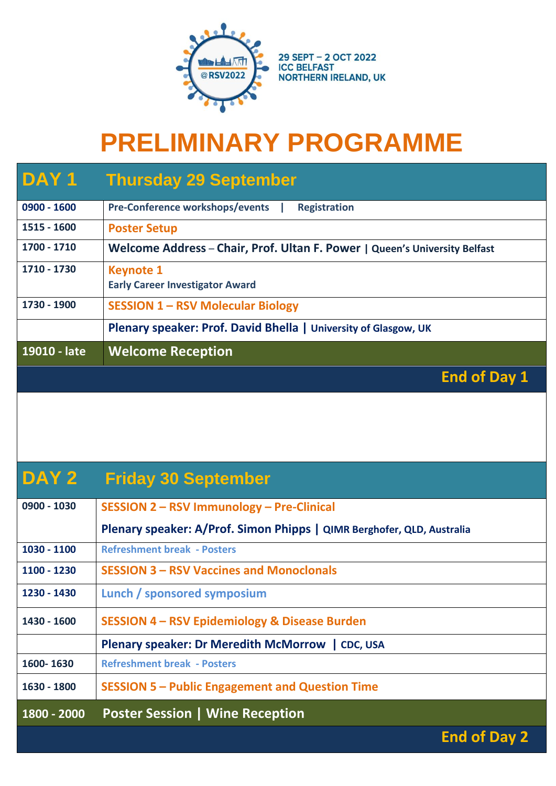

## **PRELIMINARY PROGRAMME**

| DAY <sub>1</sub> | <b>Thursday 29 September</b>                                               |
|------------------|----------------------------------------------------------------------------|
| $0900 - 1600$    | <b>Pre-Conference workshops/events</b><br><b>Registration</b>              |
| 1515 - 1600      | <b>Poster Setup</b>                                                        |
| 1700 - 1710      | Welcome Address - Chair, Prof. Ultan F. Power   Queen's University Belfast |
| 1710 - 1730      | <b>Keynote 1</b><br><b>Early Career Investigator Award</b>                 |
| 1730 - 1900      | <b>SESSION 1 - RSV Molecular Biology</b>                                   |
|                  | Plenary speaker: Prof. David Bhella   University of Glasgow, UK            |
| 19010 - late     | <b>Welcome Reception</b>                                                   |
|                  | <b>End of Day 1</b>                                                        |

## **DAY 2 Friday 30 September**

| 0900 - 1030 | SESSION 2 - RSV Immunology - Pre-Clinical                              |
|-------------|------------------------------------------------------------------------|
|             | Plenary speaker: A/Prof. Simon Phipps   QIMR Berghofer, QLD, Australia |
| 1030 - 1100 | <b>Refreshment break - Posters</b>                                     |
| 1100 - 1230 | <b>SESSION 3 – RSV Vaccines and Monoclonals</b>                        |
| 1230 - 1430 | Lunch / sponsored symposium                                            |
| 1430 - 1600 | <b>SESSION 4 - RSV Epidemiology &amp; Disease Burden</b>               |
|             | Plenary speaker: Dr Meredith McMorrow   CDC, USA                       |
| 1600-1630   | <b>Refreshment break - Posters</b>                                     |
| 1630 - 1800 | <b>SESSION 5 - Public Engagement and Question Time</b>                 |
| 1800 - 2000 | <b>Poster Session   Wine Reception</b>                                 |

 **End of Day 2**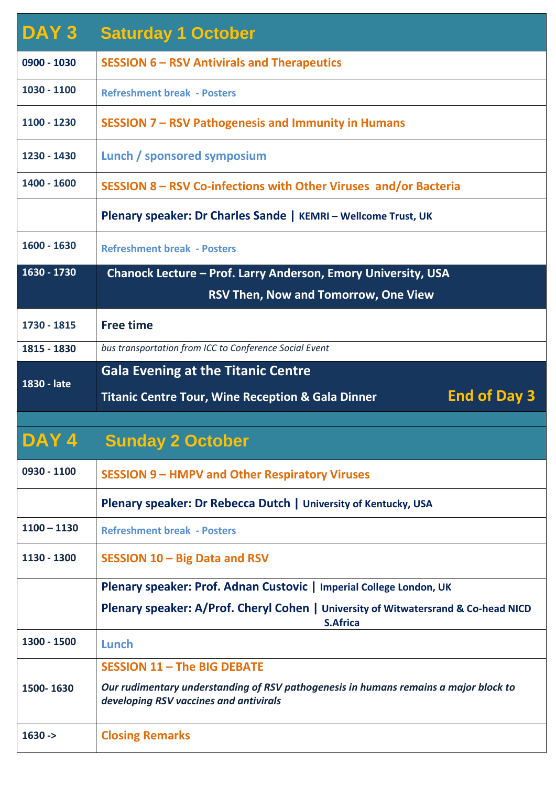| DAY 3         | <b>Saturday 1 October</b>                                                                                                      |
|---------------|--------------------------------------------------------------------------------------------------------------------------------|
| 0900 - 1030   | <b>SESSION 6 - RSV Antivirals and Therapeutics</b>                                                                             |
| 1030 - 1100   | <b>Refreshment break - Posters</b>                                                                                             |
| 1100 - 1230   | SESSION 7 – RSV Pathogenesis and Immunity in Humans                                                                            |
| 1230 - 1430   | Lunch / sponsored symposium                                                                                                    |
| 1400 - 1600   | SESSION 8 - RSV Co-infections with Other Viruses and/or Bacteria                                                               |
|               | Plenary speaker: Dr Charles Sande   KEMRI - Wellcome Trust, UK                                                                 |
| 1600 - 1630   | <b>Refreshment break - Posters</b>                                                                                             |
| 1630 - 1730   | Chanock Lecture - Prof. Larry Anderson, Emory University, USA                                                                  |
|               | <b>RSV Then, Now and Tomorrow, One View</b>                                                                                    |
| 1730 - 1815   | <b>Free time</b>                                                                                                               |
| 1815 - 1830   | bus transportation from ICC to Conference Social Event                                                                         |
| 1830 - late   | <b>Gala Evening at the Titanic Centre</b>                                                                                      |
|               | <b>End of Day 3</b><br><b>Titanic Centre Tour, Wine Reception &amp; Gala Dinner</b>                                            |
|               |                                                                                                                                |
| DAY 4         | <b>Sunday 2 October</b>                                                                                                        |
| 0930 - 1100   | <b>SESSION 9 - HMPV and Other Respiratory Viruses</b>                                                                          |
|               | Plenary speaker: Dr Rebecca Dutch   University of Kentucky, USA                                                                |
| $1100 - 1130$ | <b>Refreshment break - Posters</b>                                                                                             |
| 1130 - 1300   | SESSION 10 - Big Data and RSV                                                                                                  |
|               | Plenary speaker: Prof. Adnan Custovic   Imperial College London, UK                                                            |
|               | Plenary speaker: A/Prof. Cheryl Cohen   University of Witwatersrand & Co-head NICD<br><b>S.Africa</b>                          |
| 1300 - 1500   | Lunch                                                                                                                          |
|               | <b>SESSION 11 - The BIG DEBATE</b>                                                                                             |
| 1500-1630     | Our rudimentary understanding of RSV pathogenesis in humans remains a major block to<br>developing RSV vaccines and antivirals |
| $1630 - >$    | <b>Closing Remarks</b>                                                                                                         |